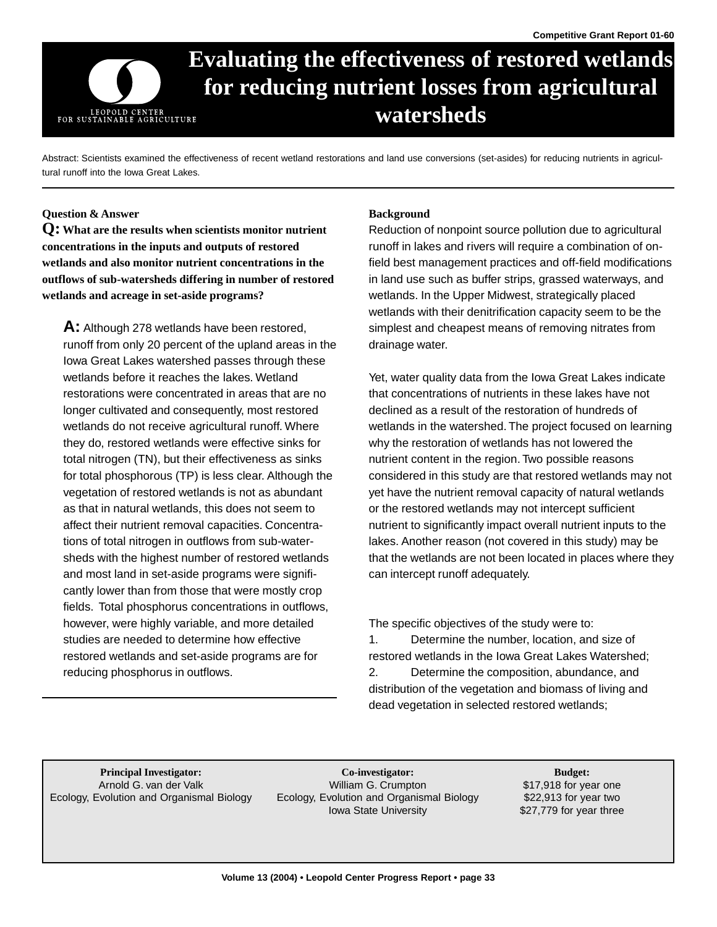# **Evaluating the effectiveness of restored wetlands for reducing nutrient losses from agricultural watersheds**  LEOPOLD CENTER<br>FOR SUSTAINABLE AGRICULTURE

Abstract: Scientists examined the effectiveness of recent wetland restorations and land use conversions (set-asides) for reducing nutrients in agricultural runoff into the Iowa Great Lakes.

## **Question & Answer**

**Q: What are the results when scientists monitor nutrient concentrations in the inputs and outputs of restored wetlands and also monitor nutrient concentrations in the outflows of sub-watersheds differing in number of restored wetlands and acreage in set-aside programs?** 

**A:** Although 278 wetlands have been restored, runoff from only 20 percent of the upland areas in the Iowa Great Lakes watershed passes through these wetlands before it reaches the lakes. Wetland restorations were concentrated in areas that are no longer cultivated and consequently, most restored wetlands do not receive agricultural runoff. Where they do, restored wetlands were effective sinks for total nitrogen (TN), but their effectiveness as sinks for total phosphorous (TP) is less clear. Although the vegetation of restored wetlands is not as abundant as that in natural wetlands, this does not seem to affect their nutrient removal capacities. Concentrations of total nitrogen in outflows from sub-watersheds with the highest number of restored wetlands and most land in set-aside programs were significantly lower than from those that were mostly crop fields. Total phosphorus concentrations in outflows, however, were highly variable, and more detailed studies are needed to determine how effective restored wetlands and set-aside programs are for reducing phosphorus in outflows.

## **Background**

Reduction of nonpoint source pollution due to agricultural runoff in lakes and rivers will require a combination of onfield best management practices and off-field modifications in land use such as buffer strips, grassed waterways, and wetlands. In the Upper Midwest, strategically placed wetlands with their denitrification capacity seem to be the simplest and cheapest means of removing nitrates from drainage water.

Yet, water quality data from the Iowa Great Lakes indicate that concentrations of nutrients in these lakes have not declined as a result of the restoration of hundreds of wetlands in the watershed. The project focused on learning why the restoration of wetlands has not lowered the nutrient content in the region. Two possible reasons considered in this study are that restored wetlands may not yet have the nutrient removal capacity of natural wetlands or the restored wetlands may not intercept sufficient nutrient to significantly impact overall nutrient inputs to the lakes. Another reason (not covered in this study) may be that the wetlands are not been located in places where they can intercept runoff adequately.

The specific objectives of the study were to:

1. Determine the number, location, and size of restored wetlands in the Iowa Great Lakes Watershed; 2. Determine the composition, abundance, and distribution of the vegetation and biomass of living and dead vegetation in selected restored wetlands;

**Principal Investigator: Budget: Co-investigator: Budget: Budget: Budget: Budget: Budget: Budget: Budget: Budget: Budget: Budget: Budget: Budget: Budget: Budget: Budget: Budget: Budget** Arnold G. van der Valk **build begin at Arnold G. Arnold G. van der Valk begin at Arnold G. Crumpton** \$17,918 for year one Ecology, Evolution and Organismal Biology Ecology, Evolution and Organismal Biology \$22,913 for year two **Co-investigator:**  William G. Crumpton Iowa State University

\$27,779 for year three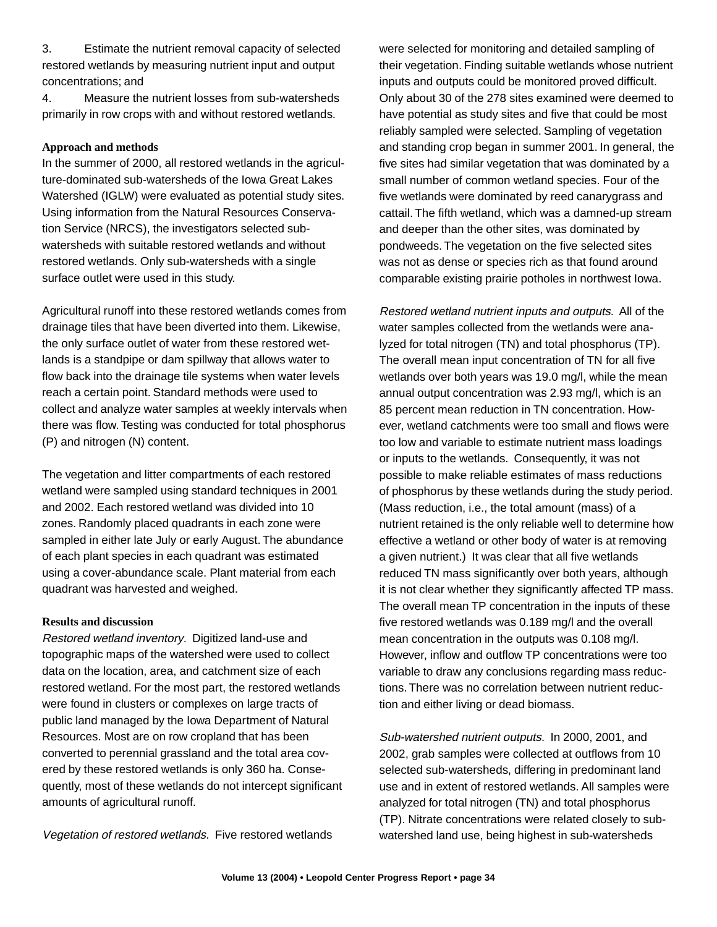3. Estimate the nutrient removal capacity of selected restored wetlands by measuring nutrient input and output concentrations; and

4. Measure the nutrient losses from sub-watersheds primarily in row crops with and without restored wetlands.

## **Approach and methods**

In the summer of 2000, all restored wetlands in the agriculture-dominated sub-watersheds of the Iowa Great Lakes Watershed (IGLW) were evaluated as potential study sites. Using information from the Natural Resources Conservation Service (NRCS), the investigators selected subwatersheds with suitable restored wetlands and without restored wetlands. Only sub-watersheds with a single surface outlet were used in this study.

Agricultural runoff into these restored wetlands comes from drainage tiles that have been diverted into them. Likewise, the only surface outlet of water from these restored wetlands is a standpipe or dam spillway that allows water to flow back into the drainage tile systems when water levels reach a certain point. Standard methods were used to collect and analyze water samples at weekly intervals when there was flow. Testing was conducted for total phosphorus (P) and nitrogen (N) content.

The vegetation and litter compartments of each restored wetland were sampled using standard techniques in 2001 and 2002. Each restored wetland was divided into 10 zones. Randomly placed quadrants in each zone were sampled in either late July or early August. The abundance of each plant species in each quadrant was estimated using a cover-abundance scale. Plant material from each quadrant was harvested and weighed.

#### **Results and discussion**

Restored wetland inventory. Digitized land-use and topographic maps of the watershed were used to collect data on the location, area, and catchment size of each restored wetland. For the most part, the restored wetlands were found in clusters or complexes on large tracts of public land managed by the Iowa Department of Natural Resources. Most are on row cropland that has been converted to perennial grassland and the total area covered by these restored wetlands is only 360 ha. Consequently, most of these wetlands do not intercept significant amounts of agricultural runoff.

Vegetation of restored wetlands. Five restored wetlands

were selected for monitoring and detailed sampling of their vegetation. Finding suitable wetlands whose nutrient inputs and outputs could be monitored proved difficult. Only about 30 of the 278 sites examined were deemed to have potential as study sites and five that could be most reliably sampled were selected. Sampling of vegetation and standing crop began in summer 2001. In general, the five sites had similar vegetation that was dominated by a small number of common wetland species. Four of the five wetlands were dominated by reed canarygrass and cattail. The fifth wetland, which was a damned-up stream and deeper than the other sites, was dominated by pondweeds. The vegetation on the five selected sites was not as dense or species rich as that found around comparable existing prairie potholes in northwest Iowa.

Restored wetland nutrient inputs and outputs. All of the water samples collected from the wetlands were analyzed for total nitrogen (TN) and total phosphorus (TP). The overall mean input concentration of TN for all five wetlands over both years was 19.0 mg/l, while the mean annual output concentration was 2.93 mg/l, which is an 85 percent mean reduction in TN concentration. However, wetland catchments were too small and flows were too low and variable to estimate nutrient mass loadings or inputs to the wetlands. Consequently, it was not possible to make reliable estimates of mass reductions of phosphorus by these wetlands during the study period. (Mass reduction, i.e., the total amount (mass) of a nutrient retained is the only reliable well to determine how effective a wetland or other body of water is at removing a given nutrient.) It was clear that all five wetlands reduced TN mass significantly over both years, although it is not clear whether they significantly affected TP mass. The overall mean TP concentration in the inputs of these five restored wetlands was 0.189 mg/l and the overall mean concentration in the outputs was 0.108 mg/l. However, inflow and outflow TP concentrations were too variable to draw any conclusions regarding mass reductions. There was no correlation between nutrient reduction and either living or dead biomass.

Sub-watershed nutrient outputs. In 2000, 2001, and 2002, grab samples were collected at outflows from 10 selected sub-watersheds, differing in predominant land use and in extent of restored wetlands. All samples were analyzed for total nitrogen (TN) and total phosphorus (TP). Nitrate concentrations were related closely to subwatershed land use, being highest in sub-watersheds